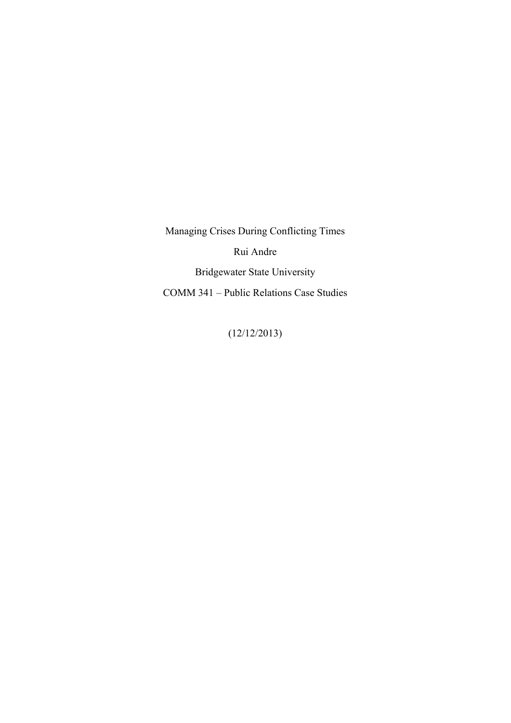Managing Crises During Conflicting Times Rui Andre Bridgewater State University COMM 341 – Public Relations Case Studies

(12/12/2013)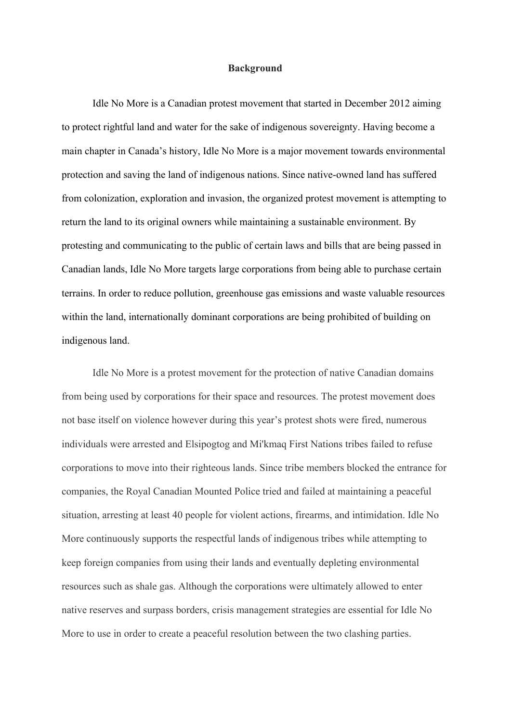## **Background**

Idle No More is a Canadian protest movement that started in December 2012 aiming to protect rightful land and water for the sake of indigenous sovereignty. Having become a main chapter in Canada's history, Idle No More is a major movement towards environmental protection and saving the land of indigenous nations. Since native-owned land has suffered from colonization, exploration and invasion, the organized protest movement is attempting to return the land to its original owners while maintaining a sustainable environment. By protesting and communicating to the public of certain laws and bills that are being passed in Canadian lands, Idle No More targets large corporations from being able to purchase certain terrains. In order to reduce pollution, greenhouse gas emissions and waste valuable resources within the land, internationally dominant corporations are being prohibited of building on indigenous land.

Idle No More is a protest movement for the protection of native Canadian domains from being used by corporations for their space and resources. The protest movement does not base itself on violence however during this year's protest shots were fired, numerous individuals were arrested and Elsipogtog and Mi'kmaq First Nations tribes failed to refuse corporations to move into their righteous lands. Since tribe members blocked the entrance for companies, the Royal Canadian Mounted Police tried and failed at maintaining a peaceful situation, arresting at least 40 people for violent actions, firearms, and intimidation. Idle No More continuously supports the respectful lands of indigenous tribes while attempting to keep foreign companies from using their lands and eventually depleting environmental resources such as shale gas. Although the corporations were ultimately allowed to enter native reserves and surpass borders, crisis management strategies are essential for Idle No More to use in order to create a peaceful resolution between the two clashing parties.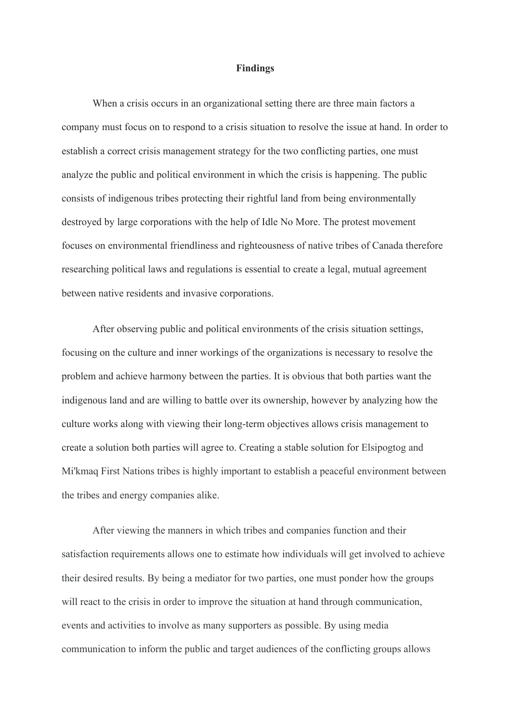## **Findings**

When a crisis occurs in an organizational setting there are three main factors a company must focus on to respond to a crisis situation to resolve the issue at hand. In order to establish a correct crisis management strategy for the two conflicting parties, one must analyze the public and political environment in which the crisis is happening. The public consists of indigenous tribes protecting their rightful land from being environmentally destroyed by large corporations with the help of Idle No More. The protest movement focuses on environmental friendliness and righteousness of native tribes of Canada therefore researching political laws and regulations is essential to create a legal, mutual agreement between native residents and invasive corporations.

After observing public and political environments of the crisis situation settings, focusing on the culture and inner workings of the organizations is necessary to resolve the problem and achieve harmony between the parties. It is obvious that both parties want the indigenous land and are willing to battle over its ownership, however by analyzing how the culture works along with viewing their long-term objectives allows crisis management to create a solution both parties will agree to. Creating a stable solution for Elsipogtog and Mi'kmaq First Nations tribes is highly important to establish a peaceful environment between the tribes and energy companies alike.

After viewing the manners in which tribes and companies function and their satisfaction requirements allows one to estimate how individuals will get involved to achieve their desired results. By being a mediator for two parties, one must ponder how the groups will react to the crisis in order to improve the situation at hand through communication, events and activities to involve as many supporters as possible. By using media communication to inform the public and target audiences of the conflicting groups allows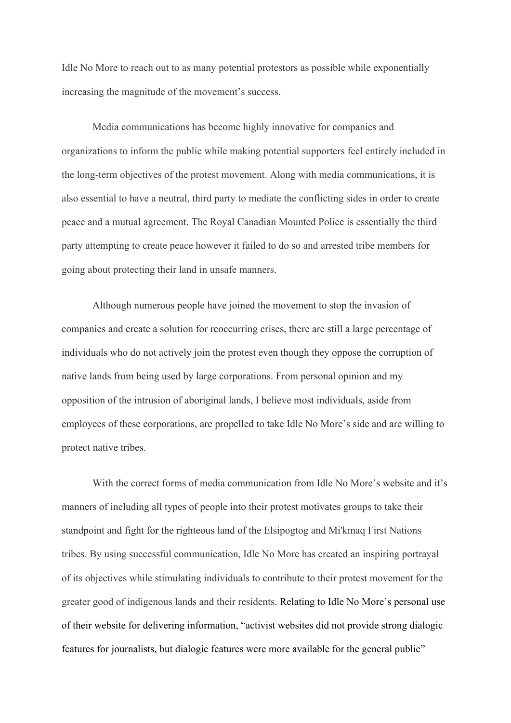Idle No More to reach out to as many potential protestors as possible while exponentially increasing the magnitude of the movement's success.

Media communications has become highly innovative for companies and organizations to inform the public while making potential supporters feel entirely included in the long-term objectives of the protest movement. Along with media communications, it is also essential to have a neutral, third party to mediate the conflicting sides in order to create peace and a mutual agreement. The Royal Canadian Mounted Police is essentially the third party attempting to create peace however it failed to do so and arrested tribe members for going about protecting their land in unsafe manners.

Although numerous people have joined the movement to stop the invasion of companies and create a solution for reoccurring crises, there are still a large percentage of individuals who do not actively join the protest even though they oppose the corruption of native lands from being used by large corporations. From personal opinion and my opposition of the intrusion of aboriginal lands, I believe most individuals, aside from employees of these corporations, are propelled to take Idle No More's side and are willing to protect native tribes.

With the correct forms of media communication from Idle No More's website and it's manners of including all types of people into their protest motivates groups to take their standpoint and fight for the righteous land of the Elsipogtog and Mi'kmaq First Nations tribes. By using successful communication, Idle No More has created an inspiring portrayal of its objectives while stimulating individuals to contribute to their protest movement for the greater good of indigenous lands and their residents. Relating to Idle No More's personal use of their website for delivering information, "activist websites did not provide strong dialogic features for journalists, but dialogic features were more available for the general public"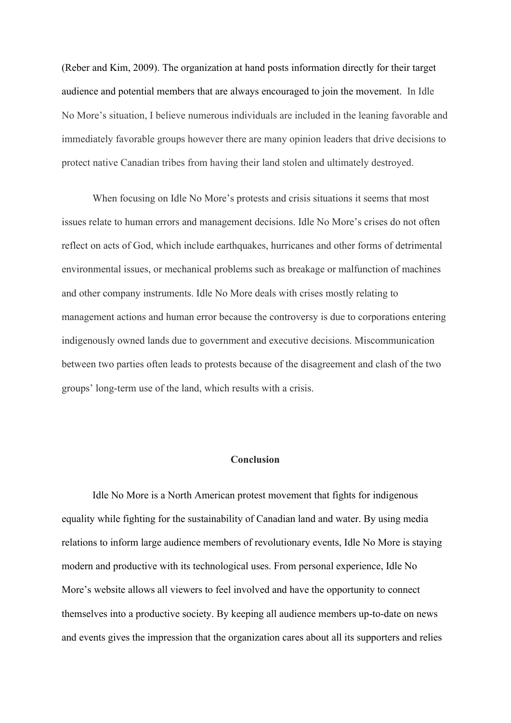(Reber and Kim, 2009). The organization at hand posts information directly for their target audience and potential members that are always encouraged to join the movement. In Idle No More's situation, I believe numerous individuals are included in the leaning favorable and immediately favorable groups however there are many opinion leaders that drive decisions to protect native Canadian tribes from having their land stolen and ultimately destroyed.

When focusing on Idle No More's protests and crisis situations it seems that most issues relate to human errors and management decisions. Idle No More's crises do not often reflect on acts of God, which include earthquakes, hurricanes and other forms of detrimental environmental issues, or mechanical problems such as breakage or malfunction of machines and other company instruments. Idle No More deals with crises mostly relating to management actions and human error because the controversy is due to corporations entering indigenously owned lands due to government and executive decisions. Miscommunication between two parties often leads to protests because of the disagreement and clash of the two groups' long-term use of the land, which results with a crisis.

## **Conclusion**

Idle No More is a North American protest movement that fights for indigenous equality while fighting for the sustainability of Canadian land and water. By using media relations to inform large audience members of revolutionary events, Idle No More is staying modern and productive with its technological uses. From personal experience, Idle No More's website allows all viewers to feel involved and have the opportunity to connect themselves into a productive society. By keeping all audience members up-to-date on news and events gives the impression that the organization cares about all its supporters and relies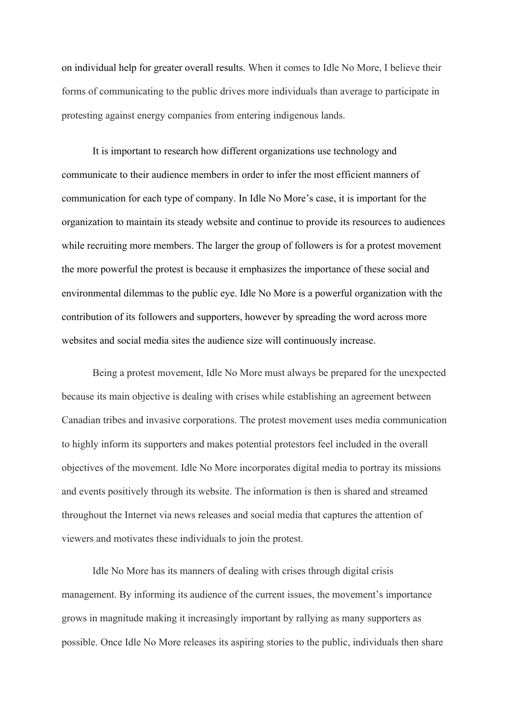on individual help for greater overall results. When it comes to Idle No More, I believe their forms of communicating to the public drives more individuals than average to participate in protesting against energy companies from entering indigenous lands.

It is important to research how different organizations use technology and communicate to their audience members in order to infer the most efficient manners of communication for each type of company. In Idle No More's case, it is important for the organization to maintain its steady website and continue to provide its resources to audiences while recruiting more members. The larger the group of followers is for a protest movement the more powerful the protest is because it emphasizes the importance of these social and environmental dilemmas to the public eye. Idle No More is a powerful organization with the contribution of its followers and supporters, however by spreading the word across more websites and social media sites the audience size will continuously increase.

Being a protest movement, Idle No More must always be prepared for the unexpected because its main objective is dealing with crises while establishing an agreement between Canadian tribes and invasive corporations. The protest movement uses media communication to highly inform its supporters and makes potential protestors feel included in the overall objectives of the movement. Idle No More incorporates digital media to portray its missions and events positively through its website. The information is then is shared and streamed throughout the Internet via news releases and social media that captures the attention of viewers and motivates these individuals to join the protest.

Idle No More has its manners of dealing with crises through digital crisis management. By informing its audience of the current issues, the movement's importance grows in magnitude making it increasingly important by rallying as many supporters as possible. Once Idle No More releases its aspiring stories to the public, individuals then share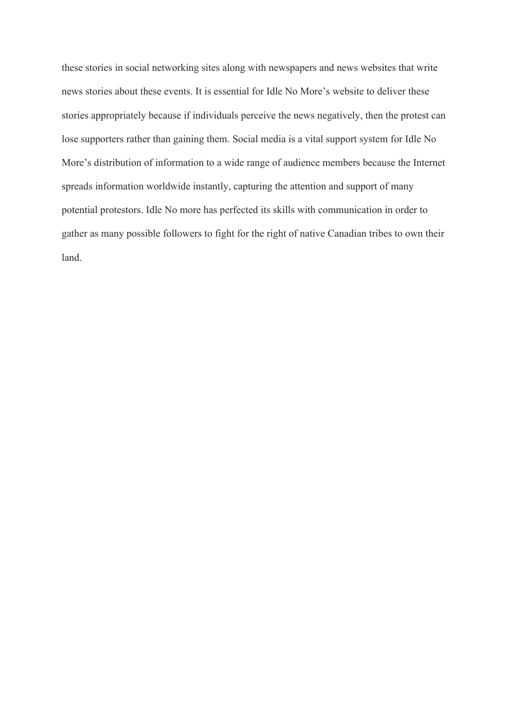these stories in social networking sites along with newspapers and news websites that write news stories about these events. It is essential for Idle No More's website to deliver these stories appropriately because if individuals perceive the news negatively, then the protest can lose supporters rather than gaining them. Social media is a vital support system for Idle No More's distribution of information to a wide range of audience members because the Internet spreads information worldwide instantly, capturing the attention and support of many potential protestors. Idle No more has perfected its skills with communication in order to gather as many possible followers to fight for the right of native Canadian tribes to own their land.